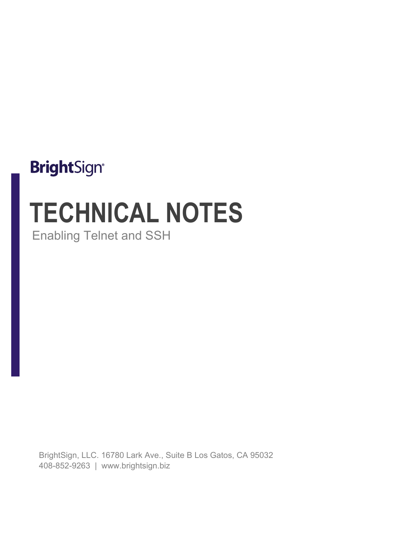# **BrightSign®**

# **TECHNICAL NOTES** Enabling Telnet and SSH

BrightSign, LLC. 16780 Lark Ave., Suite B Los Gatos, CA 95032 408-852-9263 | www.brightsign.biz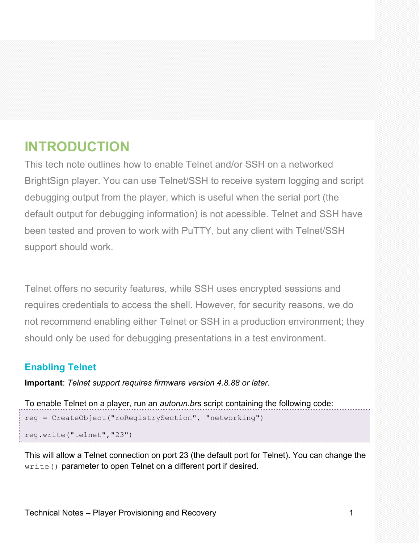# **INTRODUCTION**

This tech note outlines how to enable Telnet and/or SSH on a networked BrightSign player. You can use Telnet/SSH to receive system logging and script debugging output from the player, which is useful when the serial port (the default output for debugging information) is not acessible. Telnet and SSH have been tested and proven to work with PuTTY, but any client with Telnet/SSH support should work.

Telnet offers no security features, while SSH uses encrypted sessions and requires credentials to access the shell. However, for security reasons, we do not recommend enabling either Telnet or SSH in a production environment; they should only be used for debugging presentations in a test environment.

# **Enabling Telnet**

**Important**: *Telnet support requires firmware version 4.8.88 or later.*

```
To enable Telnet on a player, run an autorun.brs script containing the following code:
reg = CreateObject("roRegistrySection", "networking")
reg.write("telnet","23")
```
This will allow a Telnet connection on port 23 (the default port for Telnet). You can change the write() parameter to open Telnet on a different port if desired.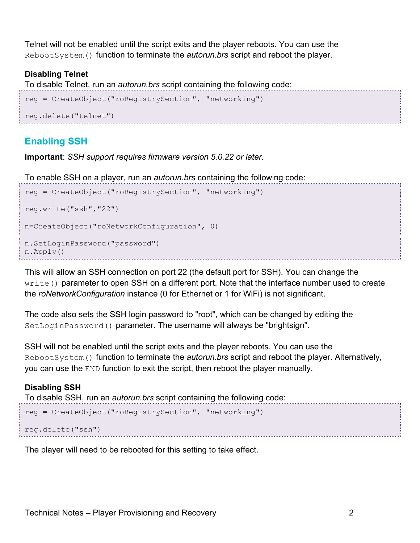Telnet will not be enabled until the script exits and the player reboots. You can use the RebootSystem() function to terminate the *autorun.brs* script and reboot the player.

#### **Disabling Telnet**

To disable Telnet, run an *autorun.brs* script containing the following code:

```
reg = CreateObject("roRegistrySection", "networking")
reg.delete("telnet")
```
## **Enabling SSH**

**Important**: *SSH support requires firmware version 5.0.22 or later.*

To enable SSH on a player, run an *autorun.brs* containing the following code:

```
reg = CreateObject("roRegistrySection", "networking")
reg.write("ssh","22")
n=CreateObject("roNetworkConfiguration", 0)
n.SetLoginPassword("password")
n.Apply()
```
This will allow an SSH connection on port 22 (the default port for SSH). You can change the write() parameter to open SSH on a different port. Note that the interface number used to create the *roNetworkConfiguration* instance (0 for Ethernet or 1 for WiFi) is not significant.

The code also sets the SSH login password to "root", which can be changed by editing the SetLoginPassword() parameter. The username will always be "brightsign".

SSH will not be enabled until the script exits and the player reboots. You can use the RebootSystem() function to terminate the *autorun.brs* script and reboot the player. Alternatively, you can use the END function to exit the script, then reboot the player manually.

### **Disabling SSH**

To disable SSH, run an *autorun.brs* script containing the following code:

```
reg = CreateObject("roRegistrySection", "networking")
```

```
reg.delete("ssh")
```
The player will need to be rebooted for this setting to take effect.